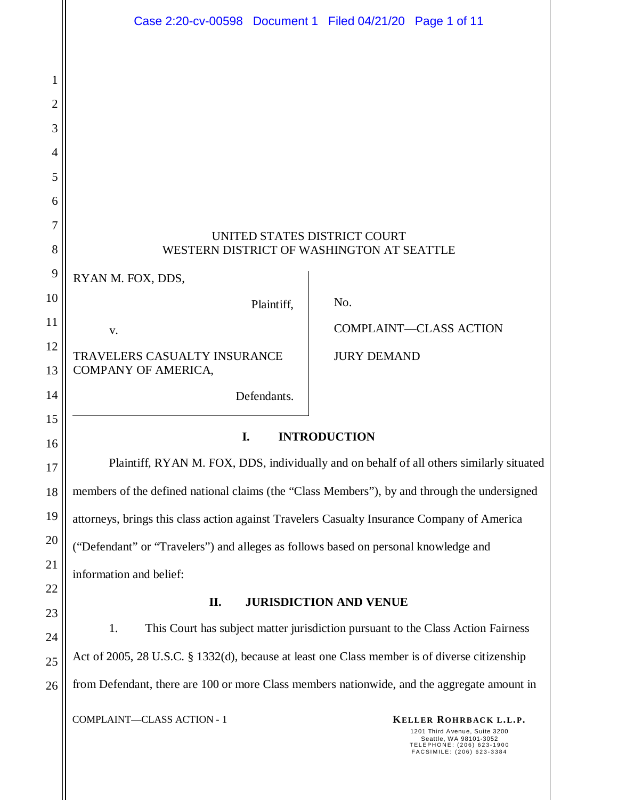|          | Case 2:20-cv-00598 Document 1 Filed 04/21/20 Page 1 of 11                                     |                                                                                                                                             |
|----------|-----------------------------------------------------------------------------------------------|---------------------------------------------------------------------------------------------------------------------------------------------|
|          |                                                                                               |                                                                                                                                             |
| 1        |                                                                                               |                                                                                                                                             |
| 2        |                                                                                               |                                                                                                                                             |
| 3        |                                                                                               |                                                                                                                                             |
| 4        |                                                                                               |                                                                                                                                             |
| 5        |                                                                                               |                                                                                                                                             |
| 6        |                                                                                               |                                                                                                                                             |
| 7        | UNITED STATES DISTRICT COURT                                                                  |                                                                                                                                             |
| 8        | WESTERN DISTRICT OF WASHINGTON AT SEATTLE                                                     |                                                                                                                                             |
| 9        | RYAN M. FOX, DDS,                                                                             |                                                                                                                                             |
| 10       | No.<br>Plaintiff,                                                                             |                                                                                                                                             |
| 11       | <b>COMPLAINT-CLASS ACTION</b><br>V.                                                           |                                                                                                                                             |
| 12       | TRAVELERS CASUALTY INSURANCE<br><b>JURY DEMAND</b>                                            |                                                                                                                                             |
| 13       | COMPANY OF AMERICA,                                                                           |                                                                                                                                             |
| 14       | Defendants.                                                                                   |                                                                                                                                             |
| 15<br>16 | I.<br><b>INTRODUCTION</b>                                                                     |                                                                                                                                             |
| 17       | Plaintiff, RYAN M. FOX, DDS, individually and on behalf of all others similarly situated      |                                                                                                                                             |
| 18       | members of the defined national claims (the "Class Members"), by and through the undersigned  |                                                                                                                                             |
| 19       | attorneys, brings this class action against Travelers Casualty Insurance Company of America   |                                                                                                                                             |
| 20       | ("Defendant" or "Travelers") and alleges as follows based on personal knowledge and           |                                                                                                                                             |
| 21       | information and belief:                                                                       |                                                                                                                                             |
| 22       |                                                                                               |                                                                                                                                             |
| 23       | <b>JURISDICTION AND VENUE</b><br>П.                                                           |                                                                                                                                             |
| 24       | 1.<br>This Court has subject matter jurisdiction pursuant to the Class Action Fairness        |                                                                                                                                             |
| 25       | Act of 2005, 28 U.S.C. § 1332(d), because at least one Class member is of diverse citizenship |                                                                                                                                             |
| 26       | from Defendant, there are 100 or more Class members nationwide, and the aggregate amount in   |                                                                                                                                             |
|          | <b>COMPLAINT-CLASS ACTION - 1</b>                                                             | KELLER ROHRBACK L.L.P.<br>1201 Third Avenue, Suite 3200<br>Seattle, WA 98101-3052<br>TELEPHONE: (206) 623-1900<br>FACSIMILE: (206) 623-3384 |

 $\mathsf{I}$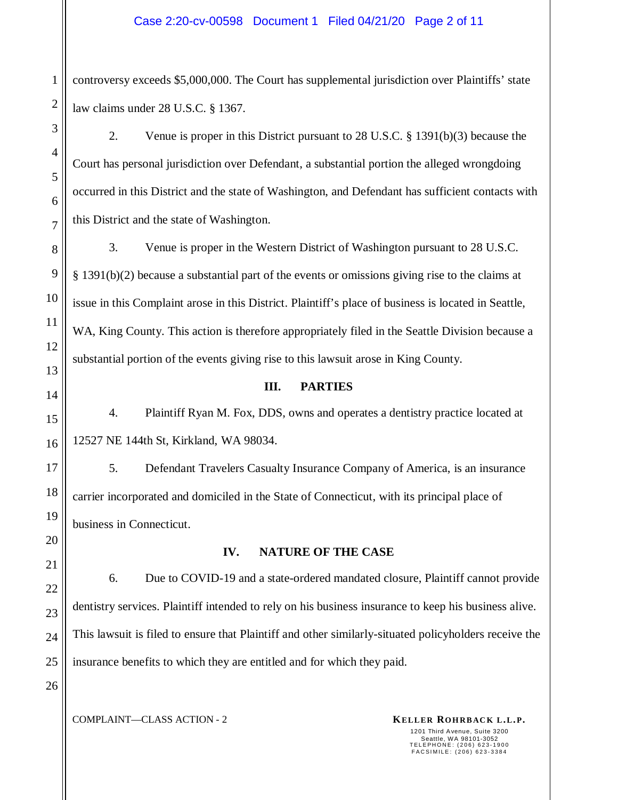controversy exceeds \$5,000,000. The Court has supplemental jurisdiction over Plaintiffs' state law claims under 28 U.S.C. § 1367.

2. Venue is proper in this District pursuant to 28 U.S.C. § 1391(b)(3) because the Court has personal jurisdiction over Defendant, a substantial portion the alleged wrongdoing occurred in this District and the state of Washington, and Defendant has sufficient contacts with this District and the state of Washington.

3. Venue is proper in the Western District of Washington pursuant to 28 U.S.C. § 1391(b)(2) because a substantial part of the events or omissions giving rise to the claims at issue in this Complaint arose in this District. Plaintiff's place of business is located in Seattle, WA, King County. This action is therefore appropriately filed in the Seattle Division because a substantial portion of the events giving rise to this lawsuit arose in King County.

## **III. PARTIES**

4. Plaintiff Ryan M. Fox, DDS, owns and operates a dentistry practice located at 12527 NE 144th St, Kirkland, WA 98034.

5. Defendant Travelers Casualty Insurance Company of America, is an insurance carrier incorporated and domiciled in the State of Connecticut, with its principal place of business in Connecticut.

## **IV. NATURE OF THE CASE**

6. Due to COVID-19 and a state-ordered mandated closure, Plaintiff cannot provide dentistry services. Plaintiff intended to rely on his business insurance to keep his business alive. This lawsuit is filed to ensure that Plaintiff and other similarly-situated policyholders receive the insurance benefits to which they are entitled and for which they paid.

**COMPLAINT—CLASS ACTION - 2 KELLER ROHRBACK L.L.P.**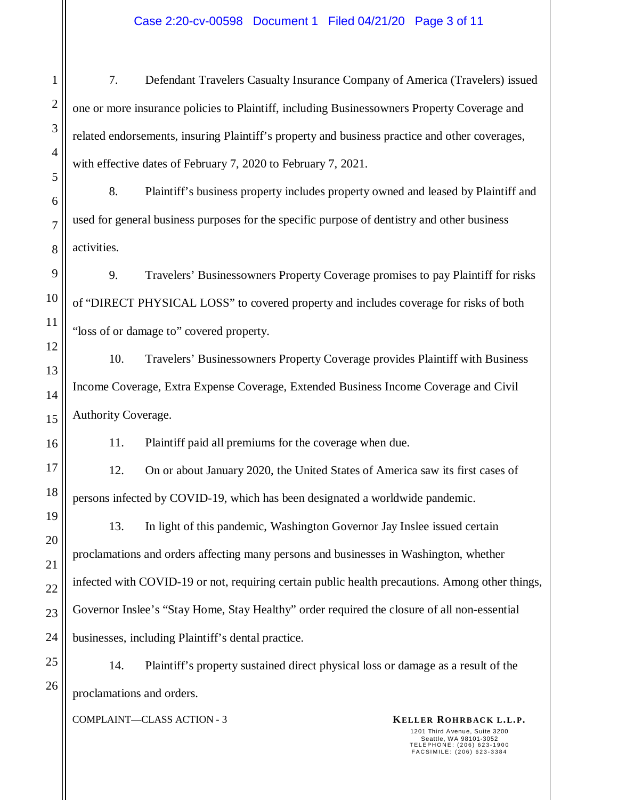## Case 2:20-cv-00598 Document 1 Filed 04/21/20 Page 3 of 11

7. Defendant Travelers Casualty Insurance Company of America (Travelers) issued one or more insurance policies to Plaintiff, including Businessowners Property Coverage and related endorsements, insuring Plaintiff's property and business practice and other coverages, with effective dates of February 7, 2020 to February 7, 2021.

8. Plaintiff's business property includes property owned and leased by Plaintiff and used for general business purposes for the specific purpose of dentistry and other business activities.

9. Travelers' Businessowners Property Coverage promises to pay Plaintiff for risks of "DIRECT PHYSICAL LOSS" to covered property and includes coverage for risks of both "loss of or damage to" covered property.

10. Travelers' Businessowners Property Coverage provides Plaintiff with Business Income Coverage, Extra Expense Coverage, Extended Business Income Coverage and Civil Authority Coverage.

11. Plaintiff paid all premiums for the coverage when due.

12. On or about January 2020, the United States of America saw its first cases of persons infected by COVID-19, which has been designated a worldwide pandemic.

13. In light of this pandemic, Washington Governor Jay Inslee issued certain proclamations and orders affecting many persons and businesses in Washington, whether infected with COVID-19 or not, requiring certain public health precautions. Among other things, Governor Inslee's "Stay Home, Stay Healthy" order required the closure of all non-essential businesses, including Plaintiff's dental practice.

14. Plaintiff's property sustained direct physical loss or damage as a result of the proclamations and orders.

**COMPLAINT—CLASS ACTION - 3 KELLER ROHRBACK L.L.P.**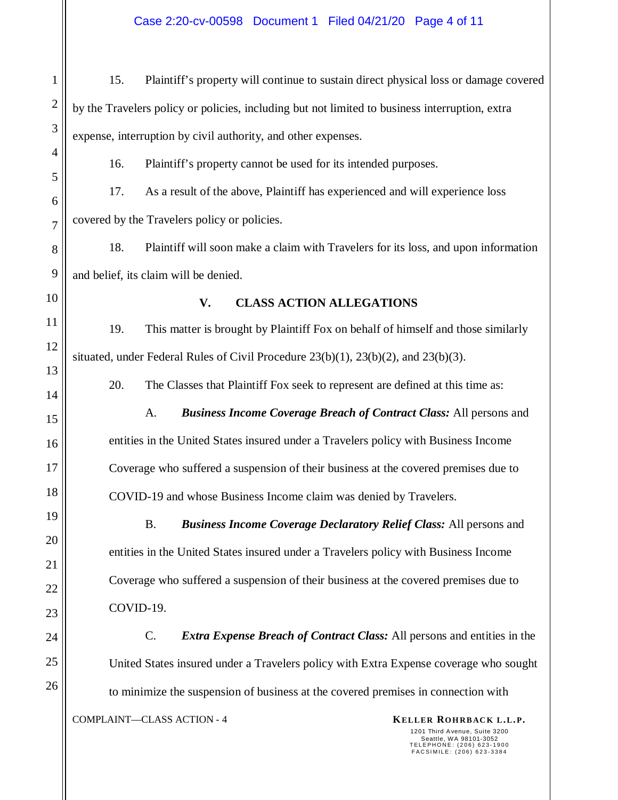Case 2:20-cv-00598 Document 1 Filed 04/21/20 Page 4 of 11

**COMPLAINT—CLASS ACTION - 4 KELLER ROHRBACK L.L.P.** 1 2 3 4 5 6 7 8 9 10 11 12 13 14 15 16 17 18 19 20 21 22 23 24 25 26 15. Plaintiff's property will continue to sustain direct physical loss or damage covered by the Travelers policy or policies, including but not limited to business interruption, extra expense, interruption by civil authority, and other expenses. 16. Plaintiff's property cannot be used for its intended purposes. 17. As a result of the above, Plaintiff has experienced and will experience loss covered by the Travelers policy or policies. 18. Plaintiff will soon make a claim with Travelers for its loss, and upon information and belief, its claim will be denied. **V. CLASS ACTION ALLEGATIONS**  19. This matter is brought by Plaintiff Fox on behalf of himself and those similarly situated, under Federal Rules of Civil Procedure  $23(b)(1)$ ,  $23(b)(2)$ , and  $23(b)(3)$ . 20. The Classes that Plaintiff Fox seek to represent are defined at this time as: A. *Business Income Coverage Breach of Contract Class:* All persons and entities in the United States insured under a Travelers policy with Business Income Coverage who suffered a suspension of their business at the covered premises due to COVID-19 and whose Business Income claim was denied by Travelers. B. *Business Income Coverage Declaratory Relief Class:* All persons and entities in the United States insured under a Travelers policy with Business Income Coverage who suffered a suspension of their business at the covered premises due to COVID-19. C. *Extra Expense Breach of Contract Class:* All persons and entities in the United States insured under a Travelers policy with Extra Expense coverage who sought to minimize the suspension of business at the covered premises in connection with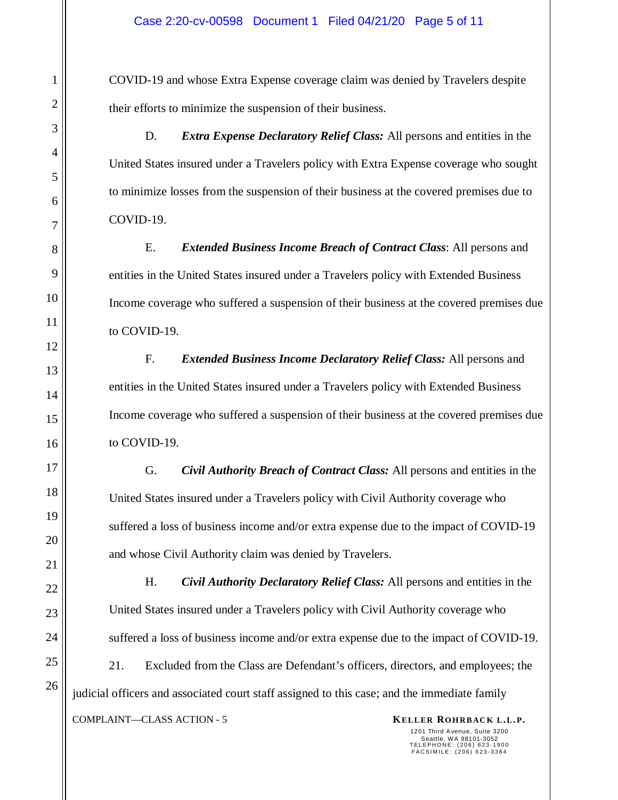COVID-19 and whose Extra Expense coverage claim was denied by Travelers despite their efforts to minimize the suspension of their business.

D. *Extra Expense Declaratory Relief Class:* All persons and entities in the United States insured under a Travelers policy with Extra Expense coverage who sought to minimize losses from the suspension of their business at the covered premises due to COVID-19.

E. *Extended Business Income Breach of Contract Class*: All persons and entities in the United States insured under a Travelers policy with Extended Business Income coverage who suffered a suspension of their business at the covered premises due to COVID-19.

F. *Extended Business Income Declaratory Relief Class:* All persons and entities in the United States insured under a Travelers policy with Extended Business Income coverage who suffered a suspension of their business at the covered premises due to COVID-19.

G. *Civil Authority Breach of Contract Class:* All persons and entities in the United States insured under a Travelers policy with Civil Authority coverage who suffered a loss of business income and/or extra expense due to the impact of COVID-19 and whose Civil Authority claim was denied by Travelers.

**COMPLAINT—CLASS ACTION - 5 KELLER ROHRBACK L.L.P.** H. *Civil Authority Declaratory Relief Class:* All persons and entities in the United States insured under a Travelers policy with Civil Authority coverage who suffered a loss of business income and/or extra expense due to the impact of COVID-19. 21. Excluded from the Class are Defendant's officers, directors, and employees; the judicial officers and associated court staff assigned to this case; and the immediate family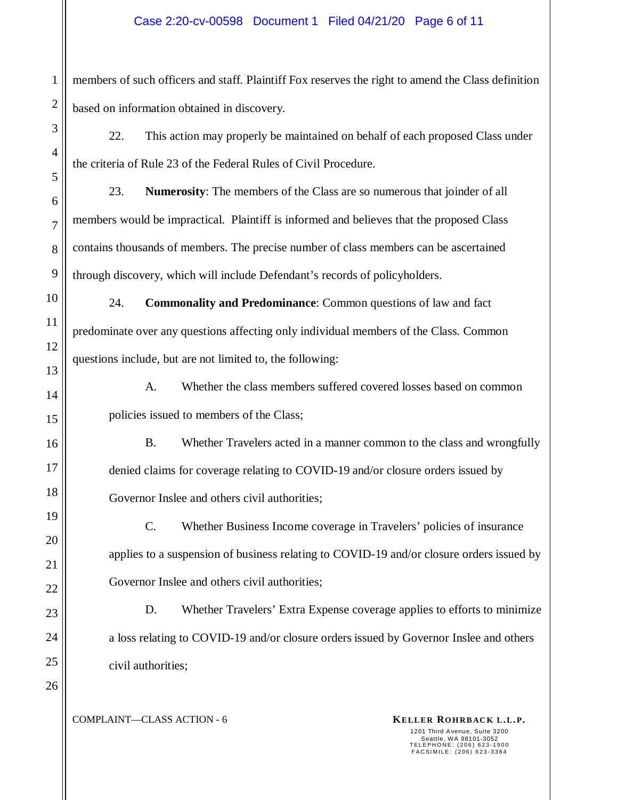## Case 2:20-cv-00598 Document 1 Filed 04/21/20 Page 6 of 11

2 members of such officers and staff. Plaintiff Fox reserves the right to amend the Class definition based on information obtained in discovery.

22. This action may properly be maintained on behalf of each proposed Class under the criteria of Rule 23 of the Federal Rules of Civil Procedure.

23. **Numerosity**: The members of the Class are so numerous that joinder of all members would be impractical. Plaintiff is informed and believes that the proposed Class contains thousands of members. The precise number of class members can be ascertained through discovery, which will include Defendant's records of policyholders.

24. **Commonality and Predominance**: Common questions of law and fact predominate over any questions affecting only individual members of the Class. Common questions include, but are not limited to, the following:

A. Whether the class members suffered covered losses based on common policies issued to members of the Class;

B. Whether Travelers acted in a manner common to the class and wrongfully denied claims for coverage relating to COVID-19 and/or closure orders issued by Governor Inslee and others civil authorities;

C. Whether Business Income coverage in Travelers' policies of insurance applies to a suspension of business relating to COVID-19 and/or closure orders issued by Governor Inslee and others civil authorities;

D. Whether Travelers' Extra Expense coverage applies to efforts to minimize a loss relating to COVID-19 and/or closure orders issued by Governor Inslee and others civil authorities;

**COMPLAINT—CLASS ACTION - 6 KELLER ROHRBACK L.L.P.** 

1

3

4

5

6

7

8

9

10

11

12

13

14

15

16

17

18

19

20

21

22

23

24

25

26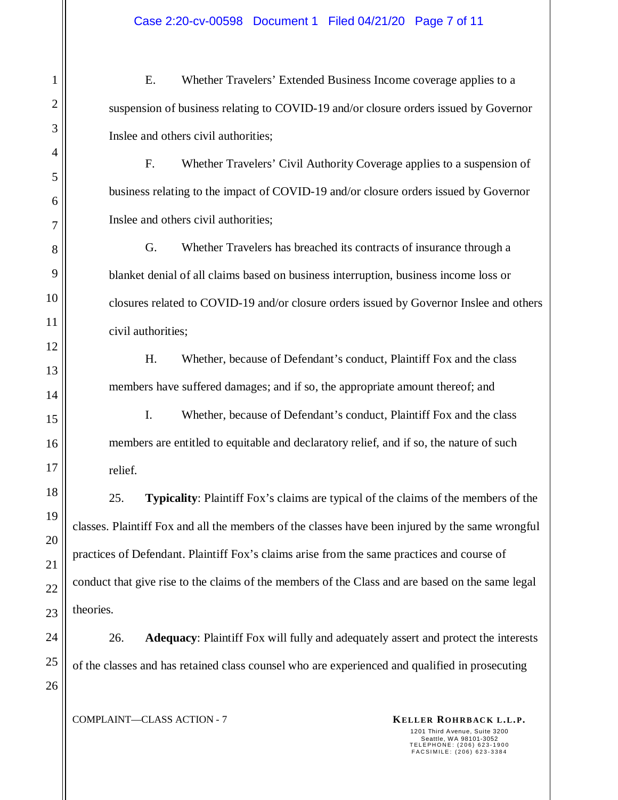E. Whether Travelers' Extended Business Income coverage applies to a suspension of business relating to COVID-19 and/or closure orders issued by Governor Inslee and others civil authorities;

F. Whether Travelers' Civil Authority Coverage applies to a suspension of business relating to the impact of COVID-19 and/or closure orders issued by Governor Inslee and others civil authorities;

G. Whether Travelers has breached its contracts of insurance through a blanket denial of all claims based on business interruption, business income loss or closures related to COVID-19 and/or closure orders issued by Governor Inslee and others civil authorities;

H. Whether, because of Defendant's conduct, Plaintiff Fox and the class members have suffered damages; and if so, the appropriate amount thereof; and

I. Whether, because of Defendant's conduct, Plaintiff Fox and the class members are entitled to equitable and declaratory relief, and if so, the nature of such relief.

25. **Typicality**: Plaintiff Fox's claims are typical of the claims of the members of the classes. Plaintiff Fox and all the members of the classes have been injured by the same wrongful practices of Defendant. Plaintiff Fox's claims arise from the same practices and course of conduct that give rise to the claims of the members of the Class and are based on the same legal theories.

26. **Adequacy**: Plaintiff Fox will fully and adequately assert and protect the interests of the classes and has retained class counsel who are experienced and qualified in prosecuting

**COMPLAINT—CLASS ACTION - 7 KELLER ROHRBACK L.L.P.**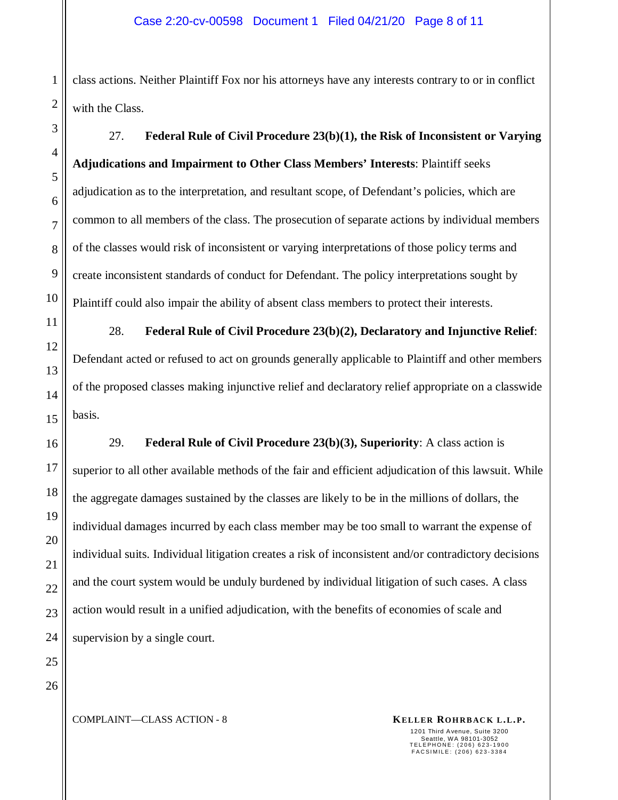class actions. Neither Plaintiff Fox nor his attorneys have any interests contrary to or in conflict with the Class.

27. **Federal Rule of Civil Procedure 23(b)(1), the Risk of Inconsistent or Varying Adjudications and Impairment to Other Class Members' Interests**: Plaintiff seeks adjudication as to the interpretation, and resultant scope, of Defendant's policies, which are common to all members of the class. The prosecution of separate actions by individual members of the classes would risk of inconsistent or varying interpretations of those policy terms and create inconsistent standards of conduct for Defendant. The policy interpretations sought by Plaintiff could also impair the ability of absent class members to protect their interests.

28. **Federal Rule of Civil Procedure 23(b)(2), Declaratory and Injunctive Relief**: Defendant acted or refused to act on grounds generally applicable to Plaintiff and other members of the proposed classes making injunctive relief and declaratory relief appropriate on a classwide basis.

29. **Federal Rule of Civil Procedure 23(b)(3), Superiority**: A class action is superior to all other available methods of the fair and efficient adjudication of this lawsuit. While the aggregate damages sustained by the classes are likely to be in the millions of dollars, the individual damages incurred by each class member may be too small to warrant the expense of individual suits. Individual litigation creates a risk of inconsistent and/or contradictory decisions and the court system would be unduly burdened by individual litigation of such cases. A class action would result in a unified adjudication, with the benefits of economies of scale and supervision by a single court.

24 25 26

1

2

3

4

5

6

7

8

9

10

11

12

13

14

15

16

17

18

19

20

21

22

23

**COMPLAINT—CLASS ACTION - 8 KELLER ROHRBACK L.L.P.**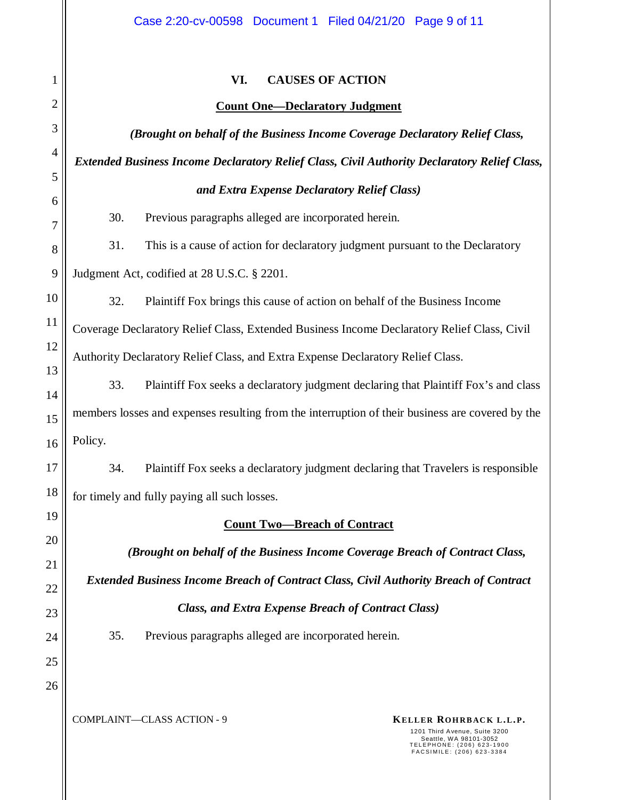**COMPLAINT—CLASS ACTION - 9 KELLER ROHRBACK L.L.P.** 1201 Third Avenue, Suite 3200 Seattle, WA 98101-3052<br>TELEPHONE: (206) 623-1900<br>FACSIMILE: (206) 623-3384 1 2 3 4 5 6 7 8 9 10 11 12 13 14 15 16 17 18 19 20 21 22 23 24 25 26 **VI. CAUSES OF ACTION Count One—Declaratory Judgment**  *(Brought on behalf of the Business Income Coverage Declaratory Relief Class, Extended Business Income Declaratory Relief Class, Civil Authority Declaratory Relief Class, and Extra Expense Declaratory Relief Class)*  30. Previous paragraphs alleged are incorporated herein. 31. This is a cause of action for declaratory judgment pursuant to the Declaratory Judgment Act, codified at 28 U.S.C. § 2201. 32. Plaintiff Fox brings this cause of action on behalf of the Business Income Coverage Declaratory Relief Class, Extended Business Income Declaratory Relief Class, Civil Authority Declaratory Relief Class, and Extra Expense Declaratory Relief Class. 33. Plaintiff Fox seeks a declaratory judgment declaring that Plaintiff Fox's and class members losses and expenses resulting from the interruption of their business are covered by the Policy. 34. Plaintiff Fox seeks a declaratory judgment declaring that Travelers is responsible for timely and fully paying all such losses. **Count Two—Breach of Contract**  *(Brought on behalf of the Business Income Coverage Breach of Contract Class, Extended Business Income Breach of Contract Class, Civil Authority Breach of Contract Class, and Extra Expense Breach of Contract Class)*  35. Previous paragraphs alleged are incorporated herein.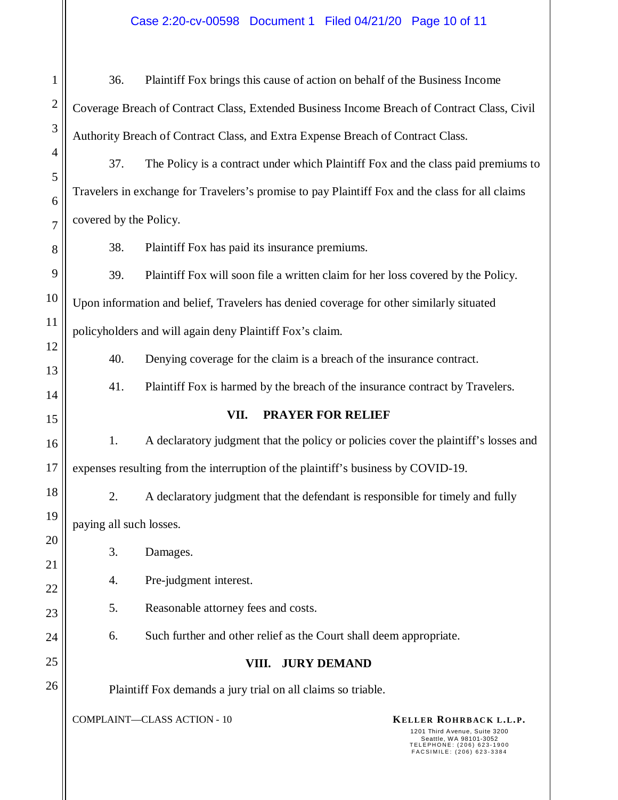# Case 2:20-cv-00598 Document 1 Filed 04/21/20 Page 10 of 11

| $\mathbf{1}$   | 36.                     | Plaintiff Fox brings this cause of action on behalf of the Business Income                      |                                                                                                                                             |
|----------------|-------------------------|-------------------------------------------------------------------------------------------------|---------------------------------------------------------------------------------------------------------------------------------------------|
| $\sqrt{2}$     |                         | Coverage Breach of Contract Class, Extended Business Income Breach of Contract Class, Civil     |                                                                                                                                             |
| 3              |                         | Authority Breach of Contract Class, and Extra Expense Breach of Contract Class.                 |                                                                                                                                             |
| $\overline{4}$ | 37.                     | The Policy is a contract under which Plaintiff Fox and the class paid premiums to               |                                                                                                                                             |
| 5<br>6         |                         | Travelers in exchange for Travelers's promise to pay Plaintiff Fox and the class for all claims |                                                                                                                                             |
| $\overline{7}$ | covered by the Policy.  |                                                                                                 |                                                                                                                                             |
| 8              | 38.                     | Plaintiff Fox has paid its insurance premiums.                                                  |                                                                                                                                             |
| 9              | 39.                     | Plaintiff Fox will soon file a written claim for her loss covered by the Policy.                |                                                                                                                                             |
| 10             |                         | Upon information and belief, Travelers has denied coverage for other similarly situated         |                                                                                                                                             |
| 11             |                         | policyholders and will again deny Plaintiff Fox's claim.                                        |                                                                                                                                             |
| 12             | 40.                     | Denying coverage for the claim is a breach of the insurance contract.                           |                                                                                                                                             |
| 13<br>14       | 41.                     | Plaintiff Fox is harmed by the breach of the insurance contract by Travelers.                   |                                                                                                                                             |
| 15             |                         | <b>PRAYER FOR RELIEF</b><br>VII.                                                                |                                                                                                                                             |
| 16             | 1.                      | A declaratory judgment that the policy or policies cover the plaintiff's losses and             |                                                                                                                                             |
| 17             |                         | expenses resulting from the interruption of the plaintiff's business by COVID-19.               |                                                                                                                                             |
| 18             | 2.                      | A declaratory judgment that the defendant is responsible for timely and fully                   |                                                                                                                                             |
| 19             | paying all such losses. |                                                                                                 |                                                                                                                                             |
| 20             | 3.                      | Damages.                                                                                        |                                                                                                                                             |
| 21<br>22       | 4.                      | Pre-judgment interest.                                                                          |                                                                                                                                             |
| 23             | 5.                      | Reasonable attorney fees and costs.                                                             |                                                                                                                                             |
| 24             | 6.                      | Such further and other relief as the Court shall deem appropriate.                              |                                                                                                                                             |
| 25             |                         | <b>JURY DEMAND</b><br>VIII.                                                                     |                                                                                                                                             |
| 26             |                         | Plaintiff Fox demands a jury trial on all claims so triable.                                    |                                                                                                                                             |
|                |                         | <b>COMPLAINT-CLASS ACTION - 10</b>                                                              | KELLER ROHRBACK L.L.P.<br>1201 Third Avenue, Suite 3200<br>Seattle, WA 98101-3052<br>TELEPHONE: (206) 623-1900<br>FACSIMILE: (206) 623-3384 |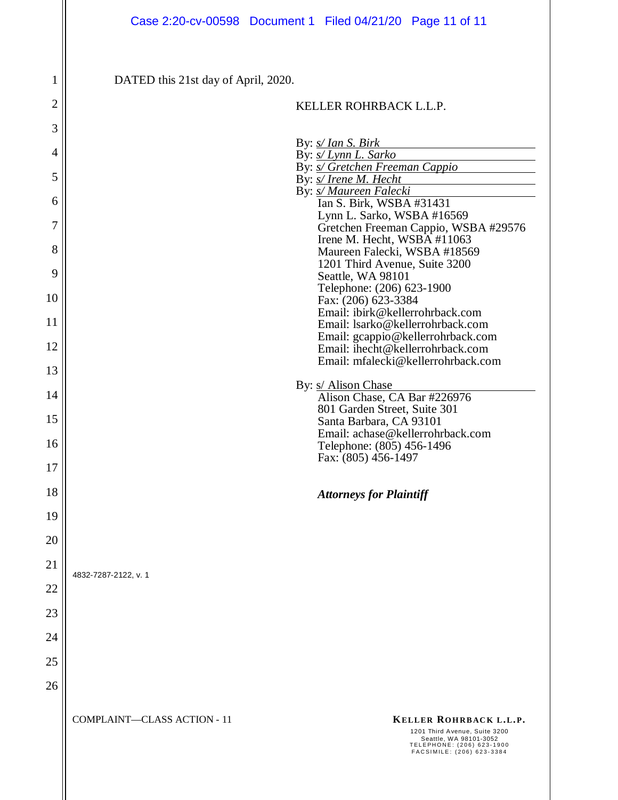|    | Case 2:20-cv-00598 Document 1 Filed 04/21/20 Page 11 of 11                                                                                                                        |
|----|-----------------------------------------------------------------------------------------------------------------------------------------------------------------------------------|
|    |                                                                                                                                                                                   |
| 1  | DATED this 21st day of April, 2020.                                                                                                                                               |
| 2  | KELLER ROHRBACK L.L.P.                                                                                                                                                            |
| 3  |                                                                                                                                                                                   |
| 4  | By: s/ Ian S. Birk<br>By: <i>s/ Lynn L. Sarko</i>                                                                                                                                 |
| 5  | By: <i>s/ Gretchen Freeman Cappio</i><br>By: s/ Irene M. Hecht                                                                                                                    |
| 6  | By: s/ Maureen Falecki<br>Ian S. Birk, WSBA #31431                                                                                                                                |
| 7  | Lynn L. Sarko, WSBA #16569<br>Gretchen Freeman Cappio, WSBA #29576                                                                                                                |
| 8  | Irene M. Hecht, WSBA #11063<br>Maureen Falecki, WSBA #18569                                                                                                                       |
| 9  | 1201 Third Avenue, Suite 3200                                                                                                                                                     |
|    | Seattle, WA 98101<br>Telephone: (206) 623-1900                                                                                                                                    |
| 10 | Fax: (206) 623-3384<br>Email: ibirk@kellerrohrback.com                                                                                                                            |
| 11 | Email: lsarko@kellerrohrback.com<br>Email: gcappio@kellerrohrback.com                                                                                                             |
| 12 | Email: ihecht@kellerrohrback.com<br>Email: mfalecki@kellerrohrback.com                                                                                                            |
| 13 |                                                                                                                                                                                   |
| 14 | By: <i>s/ Alison Chase</i><br>Alison Chase, CA Bar #226976                                                                                                                        |
| 15 | 801 Garden Street, Suite 301<br>Santa Barbara, CA 93101                                                                                                                           |
| 16 | Email: achase@kellerrohrback.com<br>Telephone: (805) 456-1496                                                                                                                     |
| 17 | Fax: (805) 456-1497                                                                                                                                                               |
| 18 | <b>Attorneys for Plaintiff</b>                                                                                                                                                    |
| 19 |                                                                                                                                                                                   |
| 20 |                                                                                                                                                                                   |
| 21 |                                                                                                                                                                                   |
| 22 | 4832-7287-2122, v. 1                                                                                                                                                              |
|    |                                                                                                                                                                                   |
| 23 |                                                                                                                                                                                   |
| 24 |                                                                                                                                                                                   |
| 25 |                                                                                                                                                                                   |
| 26 |                                                                                                                                                                                   |
|    | <b>COMPLAINT-CLASS ACTION - 11</b><br>KELLER ROHRBACK L.L.P.<br>1201 Third Avenue, Suite 3200<br>Seattle, WA 98101-3052<br>TELEPHONE: (206) 623-1900<br>FACSIMILE: (206) 623-3384 |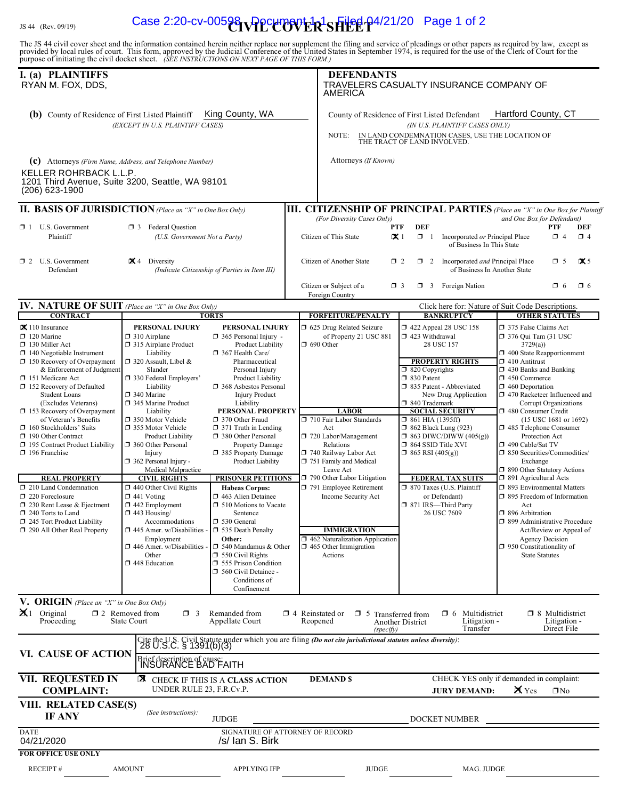# $\mathcal{H}_{\rm{HS44~(Rev. 09/19)}}$  Case 2:20-cv-005 $\mathcal{H}_{\rm{VPC}}$   $\mathcal{H}_{\rm{C}}$   $\mathcal{H}_{\rm{C}}$   $\mathcal{H}_{\rm{S}}$   $\mathcal{H}_{\rm{C}}$   $\mathcal{H}_{\rm{C}}$   $\mathcal{H}_{\rm{S}}$   $\mathcal{H}_{\rm{C}}$   $\mathcal{H}_{\rm{C}}$   $\mathcal{H}_{\rm{C}}$   $\mathcal{H}_{\rm{C}}$   $\mathcal{H}_{\rm{C}}$   $\mathcal{H}_{\rm{$

The JS 44 civil cover sheet and the information contained herein neither replace nor supplement the filing and service of pleadings or other papers as required by law, except as provided by local rules of court. This form,

| I. (a) PLAINTIFFS<br>RYAN M. FOX, DDS,                                                                                                                                                                                                                                                                                                                                                                                                                                                                                                                                                                                                                                         |                                                                                                                                                                                                                                                                                                                                                                                                                                                                                                                                                                                                                                                                          |                                                                                                                                                                                                                                                                                                                                                                                                                                                                                                                                                                                                                                                                                   | <b>DEFENDANTS</b><br>TRAVELERS CASUALTY INSURANCE COMPANY OF<br>AMERICA                                                                                                                                                                                                                                                                                                                                                |                                                                                                                                                                                                                                                                                                                                                                                                                                                                                                           |                                                                                                                                                                                                                                                                                                                                                                                                                                                                                                                                                                                                                                                                                                                                      |  |
|--------------------------------------------------------------------------------------------------------------------------------------------------------------------------------------------------------------------------------------------------------------------------------------------------------------------------------------------------------------------------------------------------------------------------------------------------------------------------------------------------------------------------------------------------------------------------------------------------------------------------------------------------------------------------------|--------------------------------------------------------------------------------------------------------------------------------------------------------------------------------------------------------------------------------------------------------------------------------------------------------------------------------------------------------------------------------------------------------------------------------------------------------------------------------------------------------------------------------------------------------------------------------------------------------------------------------------------------------------------------|-----------------------------------------------------------------------------------------------------------------------------------------------------------------------------------------------------------------------------------------------------------------------------------------------------------------------------------------------------------------------------------------------------------------------------------------------------------------------------------------------------------------------------------------------------------------------------------------------------------------------------------------------------------------------------------|------------------------------------------------------------------------------------------------------------------------------------------------------------------------------------------------------------------------------------------------------------------------------------------------------------------------------------------------------------------------------------------------------------------------|-----------------------------------------------------------------------------------------------------------------------------------------------------------------------------------------------------------------------------------------------------------------------------------------------------------------------------------------------------------------------------------------------------------------------------------------------------------------------------------------------------------|--------------------------------------------------------------------------------------------------------------------------------------------------------------------------------------------------------------------------------------------------------------------------------------------------------------------------------------------------------------------------------------------------------------------------------------------------------------------------------------------------------------------------------------------------------------------------------------------------------------------------------------------------------------------------------------------------------------------------------------|--|
| King County, WA<br><b>(b)</b> County of Residence of First Listed Plaintiff<br>(EXCEPT IN U.S. PLAINTIFF CASES)                                                                                                                                                                                                                                                                                                                                                                                                                                                                                                                                                                |                                                                                                                                                                                                                                                                                                                                                                                                                                                                                                                                                                                                                                                                          |                                                                                                                                                                                                                                                                                                                                                                                                                                                                                                                                                                                                                                                                                   | Hartford County, CT<br>County of Residence of First Listed Defendant<br>(IN U.S. PLAINTIFF CASES ONLY)<br>IN LAND CONDEMNATION CASES, USE THE LOCATION OF<br>NOTE:<br>THE TRACT OF LAND INVOLVED.                                                                                                                                                                                                                      |                                                                                                                                                                                                                                                                                                                                                                                                                                                                                                           |                                                                                                                                                                                                                                                                                                                                                                                                                                                                                                                                                                                                                                                                                                                                      |  |
| KELLER ROHRBACK L.L.P.<br>(206) 623-1900                                                                                                                                                                                                                                                                                                                                                                                                                                                                                                                                                                                                                                       | (C) Attorneys (Firm Name, Address, and Telephone Number)<br>1201 Third Avenue, Suite 3200, Seattle, WA 98101                                                                                                                                                                                                                                                                                                                                                                                                                                                                                                                                                             |                                                                                                                                                                                                                                                                                                                                                                                                                                                                                                                                                                                                                                                                                   | Attorneys (If Known)                                                                                                                                                                                                                                                                                                                                                                                                   |                                                                                                                                                                                                                                                                                                                                                                                                                                                                                                           |                                                                                                                                                                                                                                                                                                                                                                                                                                                                                                                                                                                                                                                                                                                                      |  |
|                                                                                                                                                                                                                                                                                                                                                                                                                                                                                                                                                                                                                                                                                | <b>II. BASIS OF JURISDICTION</b> (Place an "X" in One Box Only)                                                                                                                                                                                                                                                                                                                                                                                                                                                                                                                                                                                                          |                                                                                                                                                                                                                                                                                                                                                                                                                                                                                                                                                                                                                                                                                   |                                                                                                                                                                                                                                                                                                                                                                                                                        |                                                                                                                                                                                                                                                                                                                                                                                                                                                                                                           | <b>III. CITIZENSHIP OF PRINCIPAL PARTIES</b> (Place an "X" in One Box for Plaintiff                                                                                                                                                                                                                                                                                                                                                                                                                                                                                                                                                                                                                                                  |  |
| $\Box$ 1 U.S. Government<br><b>3</b> Federal Question<br>Plaintiff<br>(U.S. Government Not a Party)                                                                                                                                                                                                                                                                                                                                                                                                                                                                                                                                                                            |                                                                                                                                                                                                                                                                                                                                                                                                                                                                                                                                                                                                                                                                          |                                                                                                                                                                                                                                                                                                                                                                                                                                                                                                                                                                                                                                                                                   | (For Diversity Cases Only)<br><b>PTF</b><br>Citizen of This State<br>$\mathbf{X}$ 1                                                                                                                                                                                                                                                                                                                                    | <b>DEF</b><br>$\Box$ 1<br>Incorporated or Principal Place<br>of Business In This State                                                                                                                                                                                                                                                                                                                                                                                                                    | and One Box for Defendant)<br>PTF<br>DEF<br>$\Box$ 4<br>$\Box$ 4                                                                                                                                                                                                                                                                                                                                                                                                                                                                                                                                                                                                                                                                     |  |
| $\Box$ 2 U.S. Government<br>Defendant                                                                                                                                                                                                                                                                                                                                                                                                                                                                                                                                                                                                                                          | $\mathbf{X}$ 4 Diversity<br>(Indicate Citizenship of Parties in Item III)                                                                                                                                                                                                                                                                                                                                                                                                                                                                                                                                                                                                |                                                                                                                                                                                                                                                                                                                                                                                                                                                                                                                                                                                                                                                                                   | Citizen of Another State<br>$\Box$ 2                                                                                                                                                                                                                                                                                                                                                                                   | $\Box$ 2 Incorporated <i>and</i> Principal Place<br>of Business In Another State                                                                                                                                                                                                                                                                                                                                                                                                                          | $\Box$ 5<br>$\mathbf{X}$ 5                                                                                                                                                                                                                                                                                                                                                                                                                                                                                                                                                                                                                                                                                                           |  |
|                                                                                                                                                                                                                                                                                                                                                                                                                                                                                                                                                                                                                                                                                |                                                                                                                                                                                                                                                                                                                                                                                                                                                                                                                                                                                                                                                                          |                                                                                                                                                                                                                                                                                                                                                                                                                                                                                                                                                                                                                                                                                   | Citizen or Subject of a<br>$\Box$ 3<br>Foreign Country                                                                                                                                                                                                                                                                                                                                                                 | <b>1</b> 3 Foreign Nation                                                                                                                                                                                                                                                                                                                                                                                                                                                                                 | $\Box$ 6<br>$\Box$ 6                                                                                                                                                                                                                                                                                                                                                                                                                                                                                                                                                                                                                                                                                                                 |  |
| <b>IV. NATURE OF SUIT</b> (Place an "X" in One Box Only)<br><b>CONTRACT</b>                                                                                                                                                                                                                                                                                                                                                                                                                                                                                                                                                                                                    | <b>TORTS</b>                                                                                                                                                                                                                                                                                                                                                                                                                                                                                                                                                                                                                                                             |                                                                                                                                                                                                                                                                                                                                                                                                                                                                                                                                                                                                                                                                                   | <b>FORFEITURE/PENALTY</b>                                                                                                                                                                                                                                                                                                                                                                                              | <b>BANKRUPTCY</b>                                                                                                                                                                                                                                                                                                                                                                                                                                                                                         | Click here for: Nature of Suit Code Descriptions.<br><b>OTHER STATUTES</b>                                                                                                                                                                                                                                                                                                                                                                                                                                                                                                                                                                                                                                                           |  |
| $\mathbf{\times}$ 110 Insurance<br>$\Box$ 120 Marine<br>$\Box$ 130 Miller Act<br>$\Box$ 140 Negotiable Instrument<br>$\Box$ 150 Recovery of Overpayment<br>& Enforcement of Judgment<br>151 Medicare Act<br>152 Recovery of Defaulted<br><b>Student Loans</b><br>(Excludes Veterans)<br>$\Box$ 153 Recovery of Overpayment<br>of Veteran's Benefits<br>$\Box$ 160 Stockholders' Suits<br>190 Other Contract<br>195 Contract Product Liability<br>196 Franchise<br><b>REAL PROPERTY</b><br>$\Box$ 210 Land Condemnation<br>$\Box$ 220 Foreclosure<br>$\Box$ 230 Rent Lease & Ejectment<br>$\Box$ 240 Torts to Land<br>245 Tort Product Liability<br>290 All Other Real Property | PERSONAL INJURY<br>$\Box$ 310 Airplane<br>□ 315 Airplane Product<br>Liability<br>$\Box$ 320 Assault, Libel &<br>Slander<br>□ 330 Federal Employers'<br>Liability<br>340 Marine<br>345 Marine Product<br>Liability<br>350 Motor Vehicle<br>□ 355 Motor Vehicle<br><b>Product Liability</b><br>360 Other Personal<br>Injury<br>$\Box$ 362 Personal Injury -<br>Medical Malpractice<br><b>CIVIL RIGHTS</b><br>$\Box$ 440 Other Civil Rights<br>$\Box$ 441 Voting<br>$\Box$ 442 Employment<br>$\Box$ 443 Housing/<br>□ 530 General<br>Accommodations<br>$\Box$ 445 Amer. w/Disabilities<br>Employment<br>Other:<br>$\Box$ 446 Amer. w/Disabilities<br>Other<br>448 Education | PERSONAL INJURY<br>$\Box$ 365 Personal Injury -<br>Product Liability<br>367 Health Care/<br>Pharmaceutical<br>Personal Injury<br>Product Liability<br>□ 368 Asbestos Personal<br><b>Injury Product</b><br>Liability<br>PERSONAL PROPERTY<br>□ 370 Other Fraud<br>$\Box$ 371 Truth in Lending<br>380 Other Personal<br>Property Damage<br>□ 385 Property Damage<br>Product Liability<br><b>PRISONER PETITIONS</b><br><b>Habeas Corpus:</b><br>$\Box$ 463 Alien Detainee<br>$\Box$ 510 Motions to Vacate<br>Sentence<br>535 Death Penalty<br>$\Box$ 540 Mandamus & Other<br>$\Box$ 550 Civil Rights<br>555 Prison Condition<br>560 Civil Detainee -<br>Conditions of<br>Confinement | 5 625 Drug Related Seizure<br>of Property 21 USC 881<br>$\Box$ 690 Other<br><b>LABOR</b><br>710 Fair Labor Standards<br>Act<br>720 Labor/Management<br>Relations<br>□ 740 Railway Labor Act<br>751 Family and Medical<br>Leave Act<br>790 Other Labor Litigation<br>791 Employee Retirement<br>Income Security Act<br><b>IMMIGRATION</b><br>1462 Naturalization Application<br>$\Box$ 465 Other Immigration<br>Actions | $\Box$ 422 Appeal 28 USC 158<br>1 423 Withdrawal<br>28 USC 157<br><b>PROPERTY RIGHTS</b><br>$\Box$ 820 Copyrights<br>$\Box$ 830 Patent<br>335 Patent - Abbreviated<br>New Drug Application<br>□ 840 Trademark<br><b>SOCIAL SECURITY</b><br>$\Box$ 861 HIA (1395ff)<br>$\Box$ 862 Black Lung (923)<br>$\Box$ 863 DIWC/DIWW (405(g))<br>□ 864 SSID Title XVI<br>$\Box$ 865 RSI (405(g))<br><b>FEDERAL TAX SUITS</b><br>□ 870 Taxes (U.S. Plaintiff<br>or Defendant)<br>□ 871 IRS-Third Party<br>26 USC 7609 | 375 False Claims Act<br>$\Box$ 376 Qui Tam (31 USC<br>3729(a)<br>400 State Reapportionment<br>$\Box$ 410 Antitrust<br>$\Box$ 430 Banks and Banking<br>1 450 Commerce<br>$\Box$ 460 Deportation<br>□ 470 Racketeer Influenced and<br>Corrupt Organizations<br>□ 480 Consumer Credit<br>(15 USC 1681 or 1692)<br>485 Telephone Consumer<br>Protection Act<br>□ 490 Cable/Sat TV<br>□ 850 Securities/Commodities/<br>Exchange<br>□ 890 Other Statutory Actions<br>□ 891 Agricultural Acts<br>□ 893 Environmental Matters<br>□ 895 Freedom of Information<br>Act<br>□ 896 Arbitration<br>□ 899 Administrative Procedure<br>Act/Review or Appeal of<br><b>Agency Decision</b><br>$\Box$ 950 Constitutionality of<br><b>State Statutes</b> |  |
| V. ORIGIN (Place an "X" in One Box Only)<br>$\mathbb{X}$ 1 Original<br>Proceeding                                                                                                                                                                                                                                                                                                                                                                                                                                                                                                                                                                                              | $\Box$ 2 Removed from<br>$\Box$ 3<br>Remanded from<br>State Court<br>Appellate Court                                                                                                                                                                                                                                                                                                                                                                                                                                                                                                                                                                                     |                                                                                                                                                                                                                                                                                                                                                                                                                                                                                                                                                                                                                                                                                   | $\Box$ 4 Reinstated or $\Box$ 5<br>Reopened<br>(specify)                                                                                                                                                                                                                                                                                                                                                               | Multidistrict<br>$\Box$ 6<br>Transferred from<br>Litigation -<br>Another District<br>Transfer                                                                                                                                                                                                                                                                                                                                                                                                             | $\Box$ 8 Multidistrict<br>Litigation -<br>Direct File                                                                                                                                                                                                                                                                                                                                                                                                                                                                                                                                                                                                                                                                                |  |
| VI. CAUSE OF ACTION                                                                                                                                                                                                                                                                                                                                                                                                                                                                                                                                                                                                                                                            | Cite the U.S. Civil Statute under which you are filing ( <i>Do not cite jurisdictional statutes unless diversity</i> ):<br>28 U.S.C. § 1391(b)(3)<br>Brief description of cause:<br>INSURANCE BAD FAITH                                                                                                                                                                                                                                                                                                                                                                                                                                                                  |                                                                                                                                                                                                                                                                                                                                                                                                                                                                                                                                                                                                                                                                                   |                                                                                                                                                                                                                                                                                                                                                                                                                        |                                                                                                                                                                                                                                                                                                                                                                                                                                                                                                           |                                                                                                                                                                                                                                                                                                                                                                                                                                                                                                                                                                                                                                                                                                                                      |  |
| <b>VII. REQUESTED IN</b><br><b>COMPLAINT:</b>                                                                                                                                                                                                                                                                                                                                                                                                                                                                                                                                                                                                                                  | <b>X</b> CHECK IF THIS IS A CLASS ACTION<br>UNDER RULE 23, F.R.Cv.P.                                                                                                                                                                                                                                                                                                                                                                                                                                                                                                                                                                                                     |                                                                                                                                                                                                                                                                                                                                                                                                                                                                                                                                                                                                                                                                                   | <b>DEMAND \$</b>                                                                                                                                                                                                                                                                                                                                                                                                       | <b>JURY DEMAND:</b>                                                                                                                                                                                                                                                                                                                                                                                                                                                                                       | CHECK YES only if demanded in complaint:<br>X Yes<br>$\Box$ No                                                                                                                                                                                                                                                                                                                                                                                                                                                                                                                                                                                                                                                                       |  |
| VIII. RELATED CASE(S)<br><b>IF ANY</b>                                                                                                                                                                                                                                                                                                                                                                                                                                                                                                                                                                                                                                         | (See instructions):<br><b>JUDGE</b>                                                                                                                                                                                                                                                                                                                                                                                                                                                                                                                                                                                                                                      |                                                                                                                                                                                                                                                                                                                                                                                                                                                                                                                                                                                                                                                                                   |                                                                                                                                                                                                                                                                                                                                                                                                                        | DOCKET NUMBER                                                                                                                                                                                                                                                                                                                                                                                                                                                                                             |                                                                                                                                                                                                                                                                                                                                                                                                                                                                                                                                                                                                                                                                                                                                      |  |
| <b>DATE</b><br>04/21/2020                                                                                                                                                                                                                                                                                                                                                                                                                                                                                                                                                                                                                                                      |                                                                                                                                                                                                                                                                                                                                                                                                                                                                                                                                                                                                                                                                          | SIGNATURE OF ATTORNEY OF RECORD<br>/s/ Ian S. Birk                                                                                                                                                                                                                                                                                                                                                                                                                                                                                                                                                                                                                                |                                                                                                                                                                                                                                                                                                                                                                                                                        |                                                                                                                                                                                                                                                                                                                                                                                                                                                                                                           |                                                                                                                                                                                                                                                                                                                                                                                                                                                                                                                                                                                                                                                                                                                                      |  |
| <b>FOR OFFICE USE ONLY</b><br>RECEIPT#                                                                                                                                                                                                                                                                                                                                                                                                                                                                                                                                                                                                                                         | <b>AMOUNT</b>                                                                                                                                                                                                                                                                                                                                                                                                                                                                                                                                                                                                                                                            | <b>APPLYING IFP</b>                                                                                                                                                                                                                                                                                                                                                                                                                                                                                                                                                                                                                                                               | <b>JUDGE</b>                                                                                                                                                                                                                                                                                                                                                                                                           | MAG. JUDGE                                                                                                                                                                                                                                                                                                                                                                                                                                                                                                |                                                                                                                                                                                                                                                                                                                                                                                                                                                                                                                                                                                                                                                                                                                                      |  |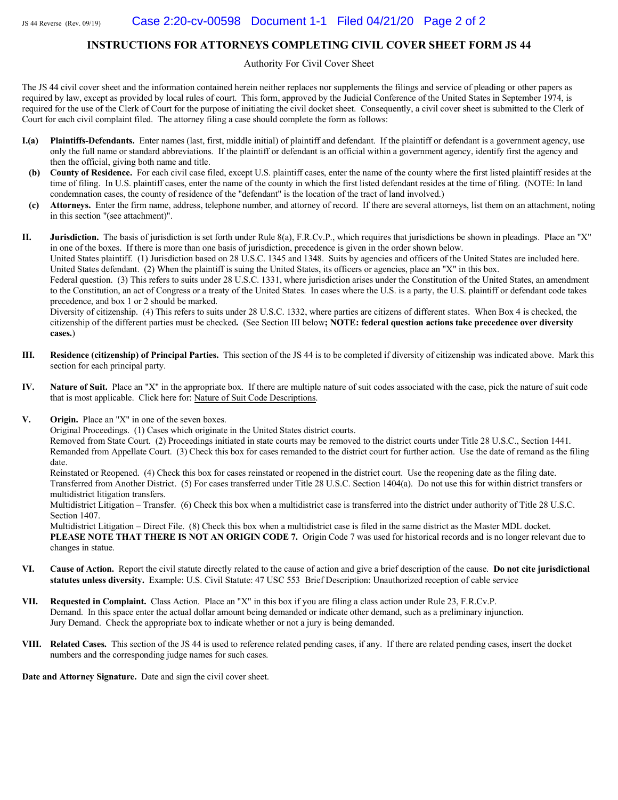### INSTRUCTIONS FOR ATTORNEYS COMPLETING CIVIL COVER SHEET FORM JS 44

Authority For Civil Cover Sheet

The JS 44 civil cover sheet and the information contained herein neither replaces nor supplements the filings and service of pleading or other papers as required by law, except as provided by local rules of court. This form, approved by the Judicial Conference of the United States in September 1974, is required for the use of the Clerk of Court for the purpose of initiating the civil docket sheet. Consequently, a civil cover sheet is submitted to the Clerk of Court for each civil complaint filed. The attorney filing a case should complete the form as follows:

- **I.(a)** Plaintiffs-Defendants. Enter names (last, first, middle initial) of plaintiff and defendant. If the plaintiff or defendant is a government agency, use only the full name or standard abbreviations. If the plaintiff or defendant is an official within a government agency, identify first the agency and then the official, giving both name and title.
- (b) County of Residence. For each civil case filed, except U.S. plaintiff cases, enter the name of the county where the first listed plaintiff resides at the time of filing. In U.S. plaintiff cases, enter the name of the county in which the first listed defendant resides at the time of filing. (NOTE: In land condemnation cases, the county of residence of the "defendant" is the location of the tract of land involved.)
- (c) Attorneys. Enter the firm name, address, telephone number, and attorney of record. If there are several attorneys, list them on an attachment, noting in this section "(see attachment)".

**II.** Jurisdiction. The basis of jurisdiction is set forth under Rule 8(a), F.R.Cv.P., which requires that jurisdictions be shown in pleadings. Place an "X" in one of the boxes. If there is more than one basis of jurisdiction, precedence is given in the order shown below.

United States plaintiff. (1) Jurisdiction based on 28 U.S.C. 1345 and 1348. Suits by agencies and officers of the United States are included here. United States defendant. (2) When the plaintiff is suing the United States, its officers or agencies, place an "X" in this box.

Federal question. (3) This refers to suits under 28 U.S.C. 1331, where jurisdiction arises under the Constitution of the United States, an amendment to the Constitution, an act of Congress or a treaty of the United States. In cases where the U.S. is a party, the U.S. plaintiff or defendant code takes precedence, and box 1 or 2 should be marked.

Diversity of citizenship. (4) This refers to suits under 28 U.S.C. 1332, where parties are citizens of different states. When Box 4 is checked, the citizenship of the different parties must be checked. (See Section III below; NOTE: federal question actions take precedence over diversity cases.)

- III. Residence (citizenship) of Principal Parties. This section of the JS 44 is to be completed if diversity of citizenship was indicated above. Mark this section for each principal party.
- IV. Nature of Suit. Place an "X" in the appropriate box. If there are multiple nature of suit codes associated with the case, pick the nature of suit code that is most applicable. Click here for: Nature of Suit Code Descriptions.
- V. Origin. Place an "X" in one of the seven boxes.

Original Proceedings. (1) Cases which originate in the United States district courts.

Removed from State Court. (2) Proceedings initiated in state courts may be removed to the district courts under Title 28 U.S.C., Section 1441. Remanded from Appellate Court. (3) Check this box for cases remanded to the district court for further action. Use the date of remand as the filing date.

Reinstated or Reopened. (4) Check this box for cases reinstated or reopened in the district court. Use the reopening date as the filing date. Transferred from Another District. (5) For cases transferred under Title 28 U.S.C. Section 1404(a). Do not use this for within district transfers or multidistrict litigation transfers.

Multidistrict Litigation – Transfer. (6) Check this box when a multidistrict case is transferred into the district under authority of Title 28 U.S.C. Section  $1407$ .

Multidistrict Litigation – Direct File. (8) Check this box when a multidistrict case is filed in the same district as the Master MDL docket. PLEASE NOTE THAT THERE IS NOT AN ORIGIN CODE 7. Origin Code 7 was used for historical records and is no longer relevant due to changes in statue.

- VI. Cause of Action. Report the civil statute directly related to the cause of action and give a brief description of the cause. Do not cite jurisdictional statutes unless diversity. Example: U.S. Civil Statute: 47 USC 553 Brief Description: Unauthorized reception of cable service
- VII. Requested in Complaint. Class Action. Place an "X" in this box if you are filing a class action under Rule 23, F.R.Cv.P. Demand. In this space enter the actual dollar amount being demanded or indicate other demand, such as a preliminary injunction. Jury Demand. Check the appropriate box to indicate whether or not a jury is being demanded.
- VIII. Related Cases. This section of the JS 44 is used to reference related pending cases, if any. If there are related pending cases, insert the docket numbers and the corresponding judge names for such cases.

Date and Attorney Signature. Date and sign the civil cover sheet.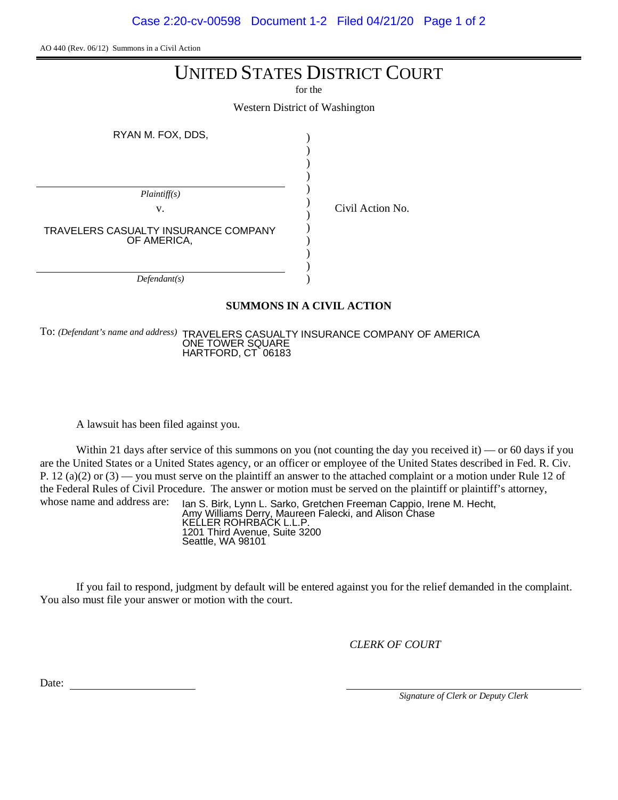Case 2:20-cv-00598 Document 1-2 Filed 04/21/20 Page 1 of 2

AO 440 (Rev. 06/12) Summons in a Civil Action

# UNITED STATES DISTRICT COURT

for the

Western District of Washington

) ) ) ) ) ) ) ) ) ) ) ) *Plaintiff(s)* v. Civil Action No. *Defendant(s)* RYAN M. FOX, DDS, TRAVELERS CASUALTY INSURANCE COMPANY OF AMERICA,

**SUMMONS IN A CIVIL ACTION**

To: *(Defendant's name and address)* TRAVELERS CASUALTY INSURANCE COMPANY OF AMERICA ONE TOWER SQUARE HARTFORD, CT 06183

A lawsuit has been filed against you.

Within 21 days after service of this summons on you (not counting the day you received it) — or 60 days if you are the United States or a United States agency, or an officer or employee of the United States described in Fed. R. Civ. P. 12 (a)(2) or (3) — you must serve on the plaintiff an answer to the attached complaint or a motion under Rule 12 of the Federal Rules of Civil Procedure. The answer or motion must be served on the plaintiff or plaintiff's attorney, whose name and address are:

Ian S. Birk, Lynn L. Sarko, Gretchen Freeman Cappio, Irene M. Hecht, Amy Williams Derry, Maureen Falecki, and Alison Chase KELLER ROHRBACK L.L.P. 1201 Third Avenue, Suite 3200 Seattle, WA 98101

If you fail to respond, judgment by default will be entered against you for the relief demanded in the complaint. You also must file your answer or motion with the court.

*CLERK OF COURT*

Date:

*Signature of Clerk or Deputy Clerk*